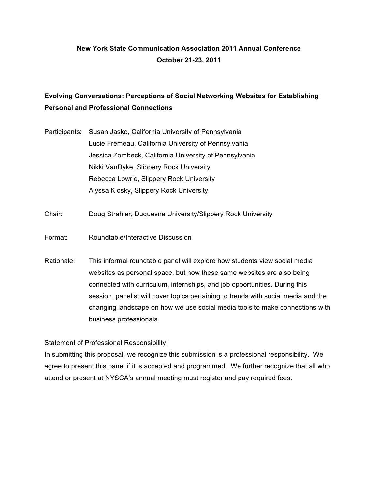# **New York State Communication Association 2011 Annual Conference October 21-23, 2011**

# **Evolving Conversations: Perceptions of Social Networking Websites for Establishing Personal and Professional Connections**

Participants: Susan Jasko, California University of Pennsylvania Lucie Fremeau, California University of Pennsylvania Jessica Zombeck, California University of Pennsylvania Nikki VanDyke, Slippery Rock University Rebecca Lowrie, Slippery Rock University Alyssa Klosky, Slippery Rock University

- Chair: Doug Strahler, Duquesne University/Slippery Rock University
- Format: Roundtable/Interactive Discussion
- Rationale: This informal roundtable panel will explore how students view social media websites as personal space, but how these same websites are also being connected with curriculum, internships, and job opportunities. During this session, panelist will cover topics pertaining to trends with social media and the changing landscape on how we use social media tools to make connections with business professionals.

#### Statement of Professional Responsibility:

In submitting this proposal, we recognize this submission is a professional responsibility. We agree to present this panel if it is accepted and programmed. We further recognize that all who attend or present at NYSCA's annual meeting must register and pay required fees.